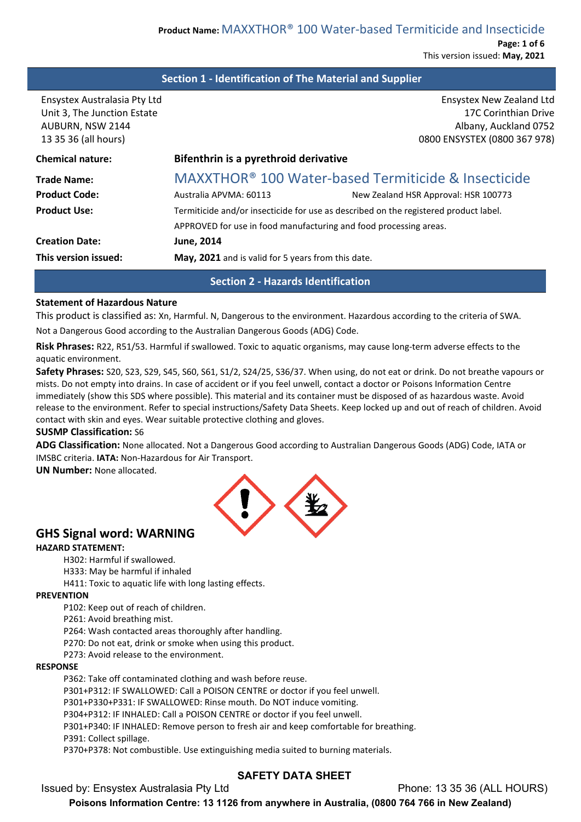**Page: 1 of 6** This version issued: **May, 2021**

## **Section 1 - Identification of The Material and Supplier**

| Ensystex Australasia Pty Ltd | <b>Ensystex New Zealand Ltd</b>                                                      |  |  |  |
|------------------------------|--------------------------------------------------------------------------------------|--|--|--|
| Unit 3, The Junction Estate  | 17C Corinthian Drive                                                                 |  |  |  |
| AUBURN, NSW 2144             | Albany, Auckland 0752                                                                |  |  |  |
| 13 35 36 (all hours)         | 0800 ENSYSTEX (0800 367 978)                                                         |  |  |  |
| <b>Chemical nature:</b>      | Bifenthrin is a pyrethroid derivative                                                |  |  |  |
| <b>Trade Name:</b>           | <b>MAXXTHOR<sup>®</sup> 100 Water-based Termiticide &amp; Insecticide</b>            |  |  |  |
| <b>Product Code:</b>         | Australia APVMA: 60113<br>New Zealand HSR Approval: HSR 100773                       |  |  |  |
| <b>Product Use:</b>          | Termiticide and/or insecticide for use as described on the registered product label. |  |  |  |
|                              | APPROVED for use in food manufacturing and food processing areas.                    |  |  |  |
| <b>Creation Date:</b>        | <b>June, 2014</b>                                                                    |  |  |  |
| This version issued:         | May, 2021 and is valid for 5 years from this date.                                   |  |  |  |

## **Section 2 - Hazards Identification**

#### **Statement of Hazardous Nature**

This product is classified as: Xn, Harmful. N, Dangerous to the environment. Hazardous according to the criteria of SWA.

Not a Dangerous Good according to the Australian Dangerous Goods (ADG) Code.

**Risk Phrases:** R22, R51/53. Harmful if swallowed. Toxic to aquatic organisms, may cause long-term adverse effects to the aquatic environment.

**Safety Phrases:** S20, S23, S29, S45, S60, S61, S1/2, S24/25, S36/37. When using, do not eat or drink. Do not breathe vapours or mists. Do not empty into drains. In case of accident or if you feel unwell, contact a doctor or Poisons Information Centre immediately (show this SDS where possible). This material and its container must be disposed of as hazardous waste. Avoid release to the environment. Refer to special instructions/Safety Data Sheets. Keep locked up and out of reach of children. Avoid contact with skin and eyes. Wear suitable protective clothing and gloves.

#### **SUSMP Classification:** S6

**ADG Classification:** None allocated. Not a Dangerous Good according to Australian Dangerous Goods (ADG) Code, IATA or IMSBC criteria. **IATA:** Non-Hazardous for Air Transport.

**UN Number:** None allocated.



## **GHS Signal word: WARNING**

#### **HAZARD STATEMENT:**

H302: Harmful if swallowed.

H333: May be harmful if inhaled

H411: Toxic to aquatic life with long lasting effects.

#### **PREVENTION**

P102: Keep out of reach of children.

P261: Avoid breathing mist.

P264: Wash contacted areas thoroughly after handling.

P270: Do not eat, drink or smoke when using this product.

P273: Avoid release to the environment.

#### **RESPONSE**

P362: Take off contaminated clothing and wash before reuse.

P301+P312: IF SWALLOWED: Call a POISON CENTRE or doctor if you feel unwell.

P301+P330+P331: IF SWALLOWED: Rinse mouth. Do NOT induce vomiting.

P304+P312: IF INHALED: Call a POISON CENTRE or doctor if you feel unwell.

P301+P340: IF INHALED: Remove person to fresh air and keep comfortable for breathing.

P391: Collect spillage.

P370+P378: Not combustible. Use extinguishing media suited to burning materials.

## **SAFETY DATA SHEET**

Issued by: Ensystex Australasia Pty Ltd Phone: 13 35 36 (ALL HOURS)

**Poisons Information Centre: 13 1126 from anywhere in Australia, (0800 764 766 in New Zealand)**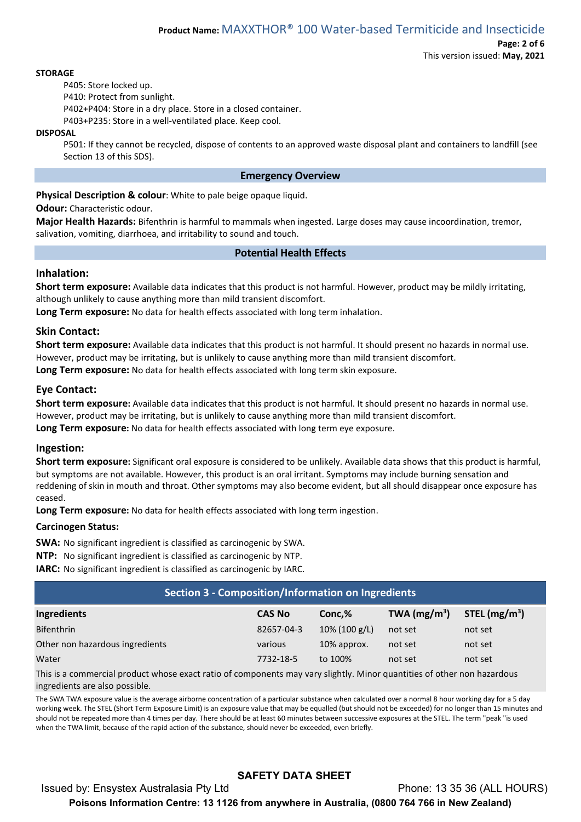#### **STORAGE**

P405: Store locked up.

P410: Protect from sunlight.

P402+P404: Store in a dry place. Store in a closed container.

P403+P235: Store in a well-ventilated place. Keep cool.

## **DISPOSAL**

P501: If they cannot be recycled, dispose of contents to an approved waste disposal plant and containers to landfill (see Section 13 of this SDS).

## **Emergency Overview**

**Physical Description & colour**: White to pale beige opaque liquid.

**Odour:** Characteristic odour.

**Major Health Hazards:** Bifenthrin is harmful to mammals when ingested. Large doses may cause incoordination, tremor, salivation, vomiting, diarrhoea, and irritability to sound and touch.

## **Potential Health Effects**

# **Inhalation:**

**Short term exposure:** Available data indicates that this product is not harmful. However, product may be mildly irritating, although unlikely to cause anything more than mild transient discomfort.

**Long Term exposure:** No data for health effects associated with long term inhalation.

## **Skin Contact:**

**Short term exposure:** Available data indicates that this product is not harmful. It should present no hazards in normal use. However, product may be irritating, but is unlikely to cause anything more than mild transient discomfort. **Long Term exposure:** No data for health effects associated with long term skin exposure.

## **Eye Contact:**

**Short term exposure:** Available data indicates that this product is not harmful. It should present no hazards in normal use. However, product may be irritating, but is unlikely to cause anything more than mild transient discomfort.

**Long Term exposure:** No data for health effects associated with long term eye exposure.

## **Ingestion:**

**Short term exposure:** Significant oral exposure is considered to be unlikely. Available data shows that this product is harmful, but symptoms are not available. However, this product is an oral irritant. Symptoms may include burning sensation and reddening of skin in mouth and throat. Other symptoms may also become evident, but all should disappear once exposure has ceased.

**Long Term exposure:** No data for health effects associated with long term ingestion.

## **Carcinogen Status:**

**SWA:** No significant ingredient is classified as carcinogenic by SWA.

**NTP:** No significant ingredient is classified as carcinogenic by NTP.

**IARC:** No significant ingredient is classified as carcinogenic by IARC.

| Section 3 - Composition/Information on Ingredients                                                                      |               |                  |                |                 |  |
|-------------------------------------------------------------------------------------------------------------------------|---------------|------------------|----------------|-----------------|--|
| Ingredients                                                                                                             | <b>CAS No</b> | Conc.%           | TWA $(mg/m^3)$ | STEL $(mg/m^3)$ |  |
| <b>Bifenthrin</b>                                                                                                       | 82657-04-3    | $10\%$ (100 g/L) | not set        | not set         |  |
| Other non hazardous ingredients                                                                                         | various       | 10% approx.      | not set        | not set         |  |
| Water                                                                                                                   | 7732-18-5     | to 100%          | not set        | not set         |  |
| This is a commercial product whose exact ratio of components may vary slightly. Minor quantities of other non hazardous |               |                  |                |                 |  |

ingredients are also possible.

The SWA TWA exposure value is the average airborne concentration of a particular substance when calculated over a normal 8 hour working day for a 5 day working week. The STEL (Short Term Exposure Limit) is an exposure value that may be equalled (but should not be exceeded) for no longer than 15 minutes and should not be repeated more than 4 times per day. There should be at least 60 minutes between successive exposures at the STEL. The term "peak "is used when the TWA limit, because of the rapid action of the substance, should never be exceeded, even briefly.

# **SAFETY DATA SHEET**

Issued by: Ensystex Australasia Pty Ltd Phone: 13 35 36 (ALL HOURS) **Poisons Information Centre: 13 1126 from anywhere in Australia, (0800 764 766 in New Zealand)**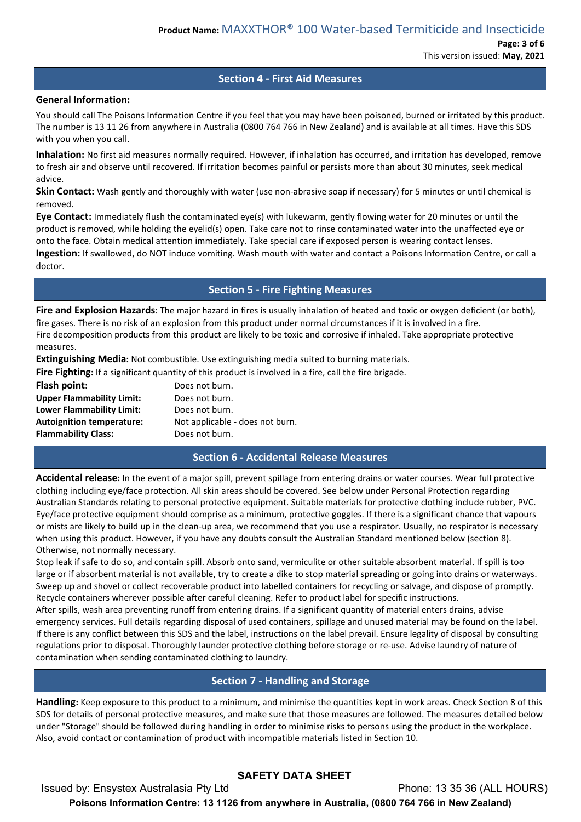## **Section 4 - First Aid Measures**

## **General Information:**

You should call The Poisons Information Centre if you feel that you may have been poisoned, burned or irritated by this product. The number is 13 11 26 from anywhere in Australia (0800 764 766 in New Zealand) and is available at all times. Have this SDS with you when you call.

**Inhalation:** No first aid measures normally required. However, if inhalation has occurred, and irritation has developed, remove to fresh air and observe until recovered. If irritation becomes painful or persists more than about 30 minutes, seek medical advice.

**Skin Contact:** Wash gently and thoroughly with water (use non-abrasive soap if necessary) for 5 minutes or until chemical is removed.

**Eye Contact:** Immediately flush the contaminated eye(s) with lukewarm, gently flowing water for 20 minutes or until the product is removed, while holding the eyelid(s) open. Take care not to rinse contaminated water into the unaffected eye or onto the face. Obtain medical attention immediately. Take special care if exposed person is wearing contact lenses. **Ingestion:** If swallowed, do NOT induce vomiting. Wash mouth with water and contact a Poisons Information Centre, or call a doctor.

## **Section 5 - Fire Fighting Measures**

**Fire and Explosion Hazards**: The major hazard in fires is usually inhalation of heated and toxic or oxygen deficient (or both), fire gases. There is no risk of an explosion from this product under normal circumstances if it is involved in a fire. Fire decomposition products from this product are likely to be toxic and corrosive if inhaled. Take appropriate protective measures.

**Extinguishing Media:** Not combustible. Use extinguishing media suited to burning materials.

**Fire Fighting:** If a significant quantity of this product is involved in a fire, call the fire brigade.

| Flash point:                     | Does not burn.                  |
|----------------------------------|---------------------------------|
| <b>Upper Flammability Limit:</b> | Does not burn.                  |
| Lower Flammability Limit:        | Does not burn.                  |
| <b>Autoignition temperature:</b> | Not applicable - does not burn. |
| <b>Flammability Class:</b>       | Does not burn.                  |

## **Section 6 - Accidental Release Measures**

**Accidental release:** In the event of a major spill, prevent spillage from entering drains or water courses. Wear full protective clothing including eye/face protection. All skin areas should be covered. See below under Personal Protection regarding Australian Standards relating to personal protective equipment. Suitable materials for protective clothing include rubber, PVC. Eye/face protective equipment should comprise as a minimum, protective goggles. If there is a significant chance that vapours or mists are likely to build up in the clean-up area, we recommend that you use a respirator. Usually, no respirator is necessary when using this product. However, if you have any doubts consult the Australian Standard mentioned below (section 8). Otherwise, not normally necessary.

Stop leak if safe to do so, and contain spill. Absorb onto sand, vermiculite or other suitable absorbent material. If spill is too large or if absorbent material is not available, try to create a dike to stop material spreading or going into drains or waterways. Sweep up and shovel or collect recoverable product into labelled containers for recycling or salvage, and dispose of promptly. Recycle containers wherever possible after careful cleaning. Refer to product label for specific instructions.

After spills, wash area preventing runoff from entering drains. If a significant quantity of material enters drains, advise emergency services. Full details regarding disposal of used containers, spillage and unused material may be found on the label. If there is any conflict between this SDS and the label, instructions on the label prevail. Ensure legality of disposal by consulting regulations prior to disposal. Thoroughly launder protective clothing before storage or re-use. Advise laundry of nature of contamination when sending contaminated clothing to laundry.

# **Section 7 - Handling and Storage**

**Handling:** Keep exposure to this product to a minimum, and minimise the quantities kept in work areas. Check Section 8 of this SDS for details of personal protective measures, and make sure that those measures are followed. The measures detailed below under "Storage" should be followed during handling in order to minimise risks to persons using the product in the workplace. Also, avoid contact or contamination of product with incompatible materials listed in Section 10.

# **SAFETY DATA SHEET**

Issued by: Ensystex Australasia Pty Ltd Phone: 13 35 36 (ALL HOURS) **Poisons Information Centre: 13 1126 from anywhere in Australia, (0800 764 766 in New Zealand)**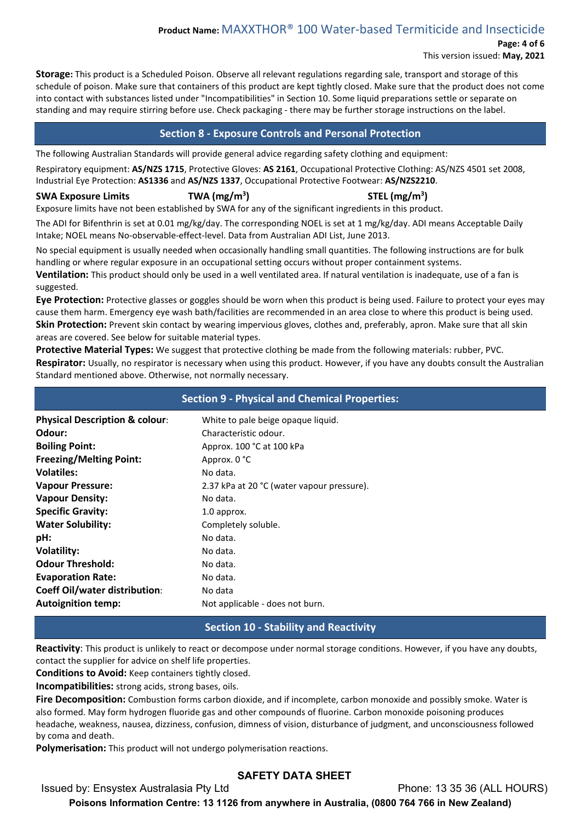# **Product Name:** MAXXTHOR® 100 Water-based Termiticide and Insecticide

**Page: 4 of 6**

This version issued: **May, 2021**

**Storage:** This product is a Scheduled Poison. Observe all relevant regulations regarding sale, transport and storage of this schedule of poison. Make sure that containers of this product are kept tightly closed. Make sure that the product does not come into contact with substances listed under "Incompatibilities" in Section 10. Some liquid preparations settle or separate on standing and may require stirring before use. Check packaging - there may be further storage instructions on the label.

# **Section 8 - Exposure Controls and Personal Protection**

The following Australian Standards will provide general advice regarding safety clothing and equipment:

Respiratory equipment: **AS/NZS 1715**, Protective Gloves: **AS 2161**, Occupational Protective Clothing: AS/NZS 4501 set 2008, Industrial Eye Protection: **AS1336** and **AS/NZS 1337**, Occupational Protective Footwear: **AS/NZS2210**.

## **SWA Exposure Limits TWA (mg/m3**

# **) STEL (mg/m3 )**

Exposure limits have not been established by SWA for any of the significant ingredients in this product.

The ADI for Bifenthrin is set at 0.01 mg/kg/day. The corresponding NOEL is set at 1 mg/kg/day. ADI means Acceptable Daily Intake; NOEL means No-observable-effect-level. Data from Australian ADI List, June 2013.

No special equipment is usually needed when occasionally handling small quantities. The following instructions are for bulk handling or where regular exposure in an occupational setting occurs without proper containment systems. **Ventilation:** This product should only be used in a well ventilated area. If natural ventilation is inadequate, use of a fan is suggested.

**Eye Protection:** Protective glasses or goggles should be worn when this product is being used. Failure to protect your eyes may cause them harm. Emergency eye wash bath/facilities are recommended in an area close to where this product is being used. **Skin Protection:** Prevent skin contact by wearing impervious gloves, clothes and, preferably, apron. Make sure that all skin areas are covered. See below for suitable material types.

**Protective Material Types:** We suggest that protective clothing be made from the following materials: rubber, PVC. **Respirator:** Usually, no respirator is necessary when using this product. However, if you have any doubts consult the Australian Standard mentioned above. Otherwise, not normally necessary.

# **Section 9 - Physical and Chemical Properties:**

| White to pale beige opaque liquid.         |
|--------------------------------------------|
| Characteristic odour.                      |
| Approx. 100 °C at 100 kPa                  |
| Approx. 0 °C                               |
| No data.                                   |
| 2.37 kPa at 20 °C (water vapour pressure). |
| No data.                                   |
| 1.0 approx.                                |
| Completely soluble.                        |
| No data.                                   |
| No data.                                   |
| No data.                                   |
| No data.                                   |
| No data                                    |
| Not applicable - does not burn.            |
|                                            |

# **Section 10 - Stability and Reactivity**

**Reactivity**: This product is unlikely to react or decompose under normal storage conditions. However, if you have any doubts, contact the supplier for advice on shelf life properties.

**Conditions to Avoid:** Keep containers tightly closed.

**Incompatibilities:** strong acids, strong bases, oils.

**Fire Decomposition:** Combustion forms carbon dioxide, and if incomplete, carbon monoxide and possibly smoke. Water is also formed. May form hydrogen fluoride gas and other compounds of fluorine. Carbon monoxide poisoning produces headache, weakness, nausea, dizziness, confusion, dimness of vision, disturbance of judgment, and unconsciousness followed by coma and death.

**Polymerisation:** This product will not undergo polymerisation reactions.

# **SAFETY DATA SHEET**

Issued by: Ensystex Australasia Pty Ltd Phone: 13 35 36 (ALL HOURS)

**Poisons Information Centre: 13 1126 from anywhere in Australia, (0800 764 766 in New Zealand)**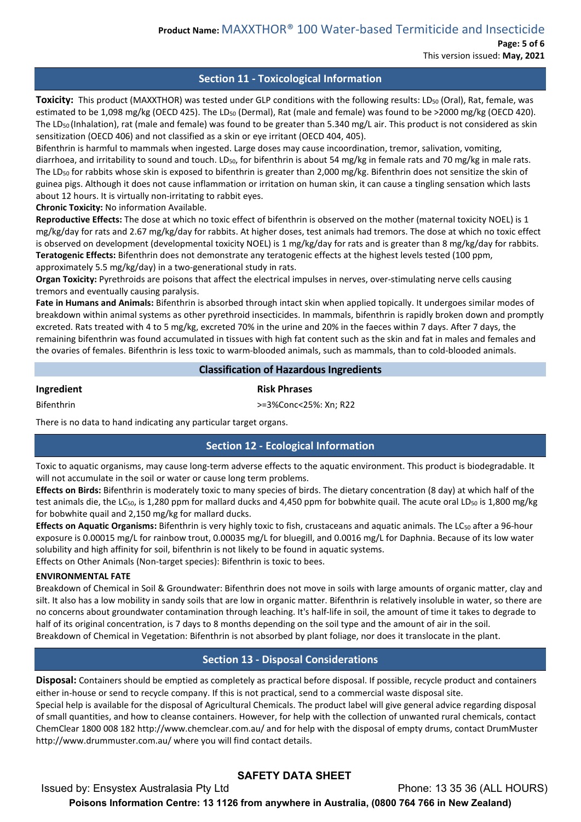**Page: 5 of 6** This version issued: **May, 2021**

# **Section 11 - Toxicological Information**

**Toxicity:** This product (MAXXTHOR) was tested under GLP conditions with the following results: LD<sub>50</sub> (Oral), Rat, female, was estimated to be 1,098 mg/kg (OECD 425). The LD<sub>50</sub> (Dermal), Rat (male and female) was found to be >2000 mg/kg (OECD 420). The LD<sub>50</sub> (Inhalation), rat (male and female) was found to be greater than 5.340 mg/L air. This product is not considered as skin sensitization (OECD 406) and not classified as a skin or eye irritant (OECD 404, 405).

Bifenthrin is harmful to mammals when ingested. Large doses may cause incoordination, tremor, salivation, vomiting, diarrhoea, and irritability to sound and touch. LD<sub>50</sub>, for bifenthrin is about 54 mg/kg in female rats and 70 mg/kg in male rats. The LD50 for rabbits whose skin is exposed to bifenthrin is greater than 2,000 mg/kg. Bifenthrin does not sensitize the skin of guinea pigs. Although it does not cause inflammation or irritation on human skin, it can cause a tingling sensation which lasts about 12 hours. It is virtually non-irritating to rabbit eyes.

**Chronic Toxicity:** No information Available.

**Reproductive Effects:** The dose at which no toxic effect of bifenthrin is observed on the mother (maternal toxicity NOEL) is 1 mg/kg/day for rats and 2.67 mg/kg/day for rabbits. At higher doses, test animals had tremors. The dose at which no toxic effect is observed on development (developmental toxicity NOEL) is 1 mg/kg/day for rats and is greater than 8 mg/kg/day for rabbits. **Teratogenic Effects:** Bifenthrin does not demonstrate any teratogenic effects at the highest levels tested (100 ppm, approximately 5.5 mg/kg/day) in a two-generational study in rats.

**Organ Toxicity:** Pyrethroids are poisons that affect the electrical impulses in nerves, over-stimulating nerve cells causing tremors and eventually causing paralysis.

**Fate in Humans and Animals:** Bifenthrin is absorbed through intact skin when applied topically. It undergoes similar modes of breakdown within animal systems as other pyrethroid insecticides. In mammals, bifenthrin is rapidly broken down and promptly excreted. Rats treated with 4 to 5 mg/kg, excreted 70% in the urine and 20% in the faeces within 7 days. After 7 days, the remaining bifenthrin was found accumulated in tissues with high fat content such as the skin and fat in males and females and the ovaries of females. Bifenthrin is less toxic to warm-blooded animals, such as mammals, than to cold-blooded animals.

## **Classification of Hazardous Ingredients**

**Ingredient Risk Phrases** 

Bifenthrin >=3%Conc<25%: Xn; R22

There is no data to hand indicating any particular target organs.

# **Section 12 - Ecological Information**

Toxic to aquatic organisms, may cause long-term adverse effects to the aquatic environment. This product is biodegradable. It will not accumulate in the soil or water or cause long term problems.

**Effects on Birds:** Bifenthrin is moderately toxic to many species of birds. The dietary concentration (8 day) at which half of the test animals die, the LC<sub>50</sub>, is 1,280 ppm for mallard ducks and 4,450 ppm for bobwhite quail. The acute oral LD<sub>50</sub> is 1,800 mg/kg for bobwhite quail and 2,150 mg/kg for mallard ducks.

Effects on Aquatic Organisms: Bifenthrin is very highly toxic to fish, crustaceans and aquatic animals. The LC<sub>50</sub> after a 96-hour exposure is 0.00015 mg/L for rainbow trout, 0.00035 mg/L for bluegill, and 0.0016 mg/L for Daphnia. Because of its low water solubility and high affinity for soil, bifenthrin is not likely to be found in aquatic systems.

Effects on Other Animals (Non-target species): Bifenthrin is toxic to bees.

## **ENVIRONMENTAL FATE**

Breakdown of Chemical in Soil & Groundwater: Bifenthrin does not move in soils with large amounts of organic matter, clay and silt. It also has a low mobility in sandy soils that are low in organic matter. Bifenthrin is relatively insoluble in water, so there are no concerns about groundwater contamination through leaching. It's half-life in soil, the amount of time it takes to degrade to half of its original concentration, is 7 days to 8 months depending on the soil type and the amount of air in the soil. Breakdown of Chemical in Vegetation: Bifenthrin is not absorbed by plant foliage, nor does it translocate in the plant.

# **Section 13 - Disposal Considerations**

**Disposal:** Containers should be emptied as completely as practical before disposal. If possible, recycle product and containers either in-house or send to recycle company. If this is not practical, send to a commercial waste disposal site.

Special help is available for the disposal of Agricultural Chemicals. The product label will give general advice regarding disposal of small quantities, and how to cleanse containers. However, for help with the collection of unwanted rural chemicals, contact ChemClear 1800 008 182 http://www.chemclear.com.au/ and for help with the disposal of empty drums, contact DrumMuster http://www.drummuster.com.au/ where you will find contact details.

# **SAFETY DATA SHEET**

Issued by: Ensystex Australasia Pty Ltd Phone: 13 35 36 (ALL HOURS) **Poisons Information Centre: 13 1126 from anywhere in Australia, (0800 764 766 in New Zealand)**